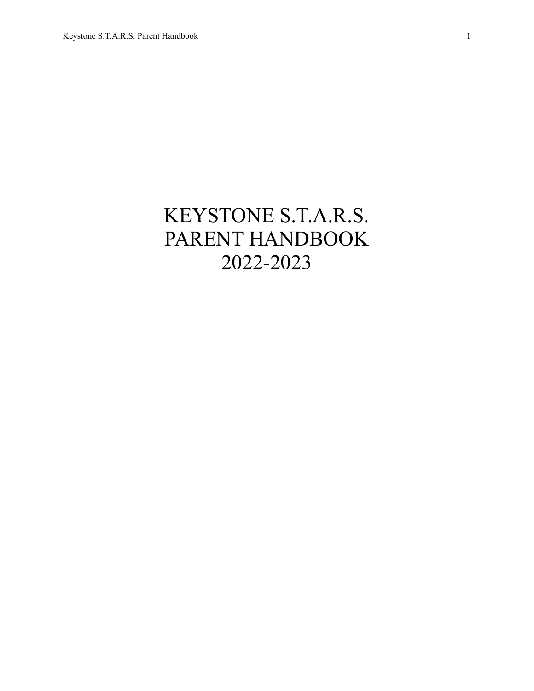# KEYSTONE S.T.A.R.S. PARENT HANDBOOK 2022-2023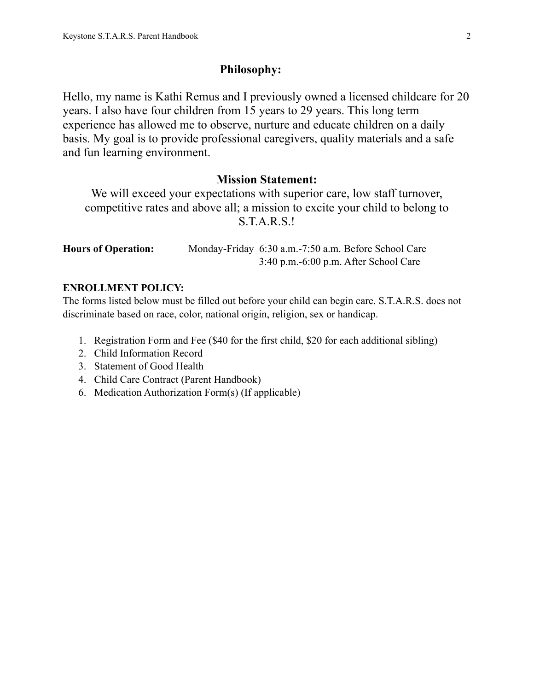# **Philosophy:**

Hello, my name is Kathi Remus and I previously owned a licensed childcare for 20 years. I also have four children from 15 years to 29 years. This long term experience has allowed me to observe, nurture and educate children on a daily basis. My goal is to provide professional caregivers, quality materials and a safe and fun learning environment.

# **Mission Statement:**

We will exceed your expectations with superior care, low staff turnover, competitive rates and above all; a mission to excite your child to belong to S.T.A.R.S.!

| <b>Hours of Operation:</b> |                                         | Monday-Friday 6:30 a.m. -7:50 a.m. Before School Care |
|----------------------------|-----------------------------------------|-------------------------------------------------------|
|                            | $3:40$ p.m.-6:00 p.m. After School Care |                                                       |

# **ENROLLMENT POLICY:**

The forms listed below must be filled out before your child can begin care. S.T.A.R.S. does not discriminate based on race, color, national origin, religion, sex or handicap.

- 1. Registration Form and Fee (\$40 for the first child, \$20 for each additional sibling)
- 2. Child Information Record
- 3. Statement of Good Health
- 4. Child Care Contract (Parent Handbook)
- 6. Medication Authorization Form(s) (If applicable)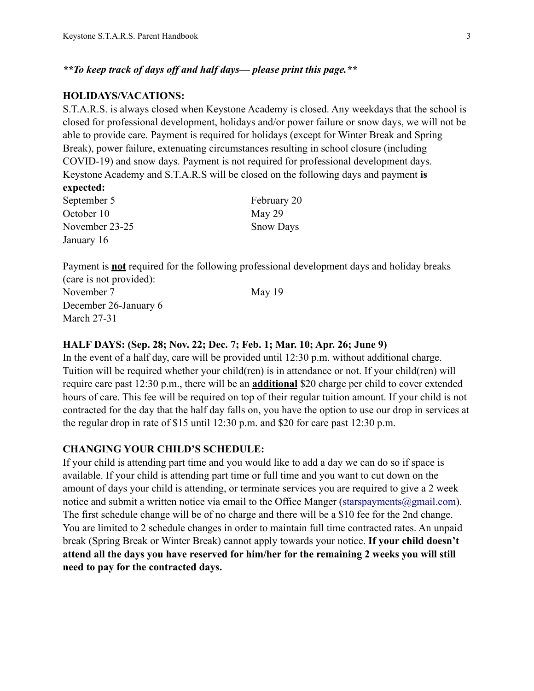*\*\*To keep track of days off and half days— please print this page.\*\**

# **HOLIDAYS/VACATIONS:**

S.T.A.R.S. is always closed when Keystone Academy is closed. Any weekdays that the school is closed for professional development, holidays and/or power failure or snow days, we will not be able to provide care. Payment is required for holidays (except for Winter Break and Spring Break), power failure, extenuating circumstances resulting in school closure (including COVID-19) and snow days. Payment is not required for professional development days. Keystone Academy and S.T.A.R.S will be closed on the following days and payment **is expected:**

| September 5    | February 20      |
|----------------|------------------|
| October 10     | May 29           |
| November 23-25 | <b>Snow Days</b> |
| January 16     |                  |

Payment is **not** required for the following professional development days and holiday breaks (care is not provided):

November 7 May 19 December 26-January 6 March 27-31

#### **HALF DAYS: (Sep. 28; Nov. 22; Dec. 7; Feb. 1; Mar. 10; Apr. 26; June 9)**

In the event of a half day, care will be provided until 12:30 p.m. without additional charge. Tuition will be required whether your child(ren) is in attendance or not. If your child(ren) will require care past 12:30 p.m., there will be an **additional** \$20 charge per child to cover extended hours of care. This fee will be required on top of their regular tuition amount. If your child is not contracted for the day that the half day falls on, you have the option to use our drop in services at the regular drop in rate of \$15 until 12:30 p.m. and \$20 for care past 12:30 p.m.

#### **CHANGING YOUR CHILD'S SCHEDULE:**

If your child is attending part time and you would like to add a day we can do so if space is available. If your child is attending part time or full time and you want to cut down on the amount of days your child is attending, or terminate services you are required to give a 2 week notice and submit a written notice via email to the Office Manger (starspayments  $@g$  mail.com). The first schedule change will be of no charge and there will be a \$10 fee for the 2nd change. You are limited to 2 schedule changes in order to maintain full time contracted rates. An unpaid break (Spring Break or Winter Break) cannot apply towards your notice. **If your child doesn't attend all the days you have reserved for him/her for the remaining 2 weeks you will still need to pay for the contracted days.**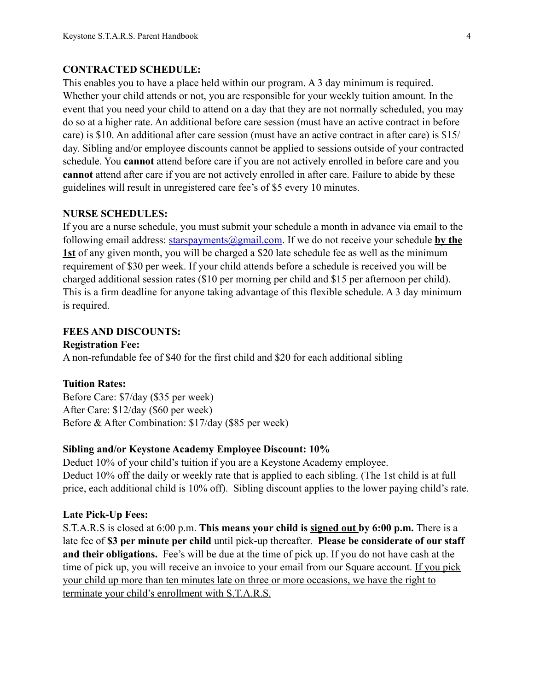#### **CONTRACTED SCHEDULE:**

This enables you to have a place held within our program. A 3 day minimum is required. Whether your child attends or not, you are responsible for your weekly tuition amount. In the event that you need your child to attend on a day that they are not normally scheduled, you may do so at a higher rate. An additional before care session (must have an active contract in before care) is \$10. An additional after care session (must have an active contract in after care) is \$15/ day. Sibling and/or employee discounts cannot be applied to sessions outside of your contracted schedule. You **cannot** attend before care if you are not actively enrolled in before care and you **cannot** attend after care if you are not actively enrolled in after care. Failure to abide by these guidelines will result in unregistered care fee's of \$5 every 10 minutes.

#### **NURSE SCHEDULES:**

If you are a nurse schedule, you must submit your schedule a month in advance via email to the following email address: [starspayments@gmail.com.](mailto:starspayments@gmail.com) If we do not receive your schedule **by the 1st** of any given month, you will be charged a \$20 late schedule fee as well as the minimum requirement of \$30 per week. If your child attends before a schedule is received you will be charged additional session rates (\$10 per morning per child and \$15 per afternoon per child). This is a firm deadline for anyone taking advantage of this flexible schedule. A 3 day minimum is required.

#### **FEES AND DISCOUNTS:**

**Registration Fee:**

A non-refundable fee of \$40 for the first child and \$20 for each additional sibling

#### **Tuition Rates:**

Before Care: \$7/day (\$35 per week) After Care: \$12/day (\$60 per week) Before & After Combination: \$17/day (\$85 per week)

# **Sibling and/or Keystone Academy Employee Discount: 10%**

Deduct 10% of your child's tuition if you are a Keystone Academy employee. Deduct 10% off the daily or weekly rate that is applied to each sibling. (The 1st child is at full price, each additional child is 10% off). Sibling discount applies to the lower paying child's rate.

#### **Late Pick-Up Fees:**

S.T.A.R.S is closed at 6:00 p.m. **This means your child is signed out by 6:00 p.m.** There is a late fee of **\$3 per minute per child** until pick-up thereafter. **Please be considerate of our staff and their obligations.** Fee's will be due at the time of pick up. If you do not have cash at the time of pick up, you will receive an invoice to your email from our Square account. If you pick your child up more than ten minutes late on three or more occasions, we have the right to terminate your child's enrollment with S.T.A.R.S.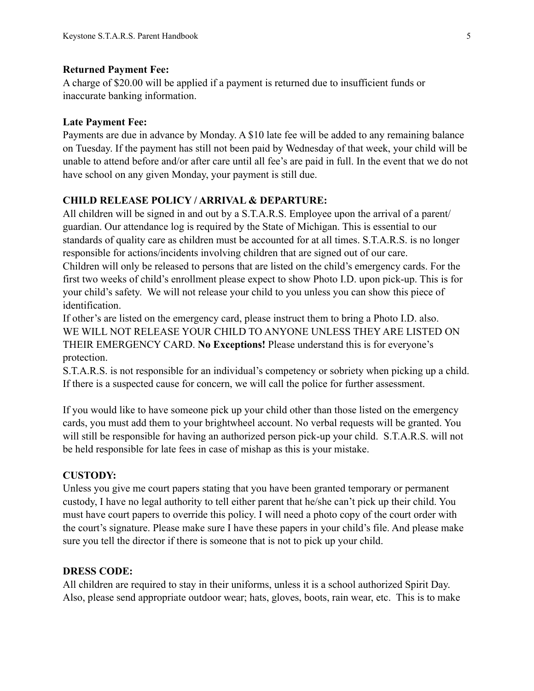#### **Returned Payment Fee:**

A charge of \$20.00 will be applied if a payment is returned due to insufficient funds or inaccurate banking information.

### **Late Payment Fee:**

Payments are due in advance by Monday. A \$10 late fee will be added to any remaining balance on Tuesday. If the payment has still not been paid by Wednesday of that week, your child will be unable to attend before and/or after care until all fee's are paid in full. In the event that we do not have school on any given Monday, your payment is still due.

# **CHILD RELEASE POLICY / ARRIVAL & DEPARTURE:**

All children will be signed in and out by a S.T.A.R.S. Employee upon the arrival of a parent/ guardian. Our attendance log is required by the State of Michigan. This is essential to our standards of quality care as children must be accounted for at all times. S.T.A.R.S. is no longer responsible for actions/incidents involving children that are signed out of our care.

Children will only be released to persons that are listed on the child's emergency cards. For the first two weeks of child's enrollment please expect to show Photo I.D. upon pick-up. This is for your child's safety. We will not release your child to you unless you can show this piece of identification.

If other's are listed on the emergency card, please instruct them to bring a Photo I.D. also. WE WILL NOT RELEASE YOUR CHILD TO ANYONE UNLESS THEY ARE LISTED ON THEIR EMERGENCY CARD. **No Exceptions!** Please understand this is for everyone's protection.

S.T.A.R.S. is not responsible for an individual's competency or sobriety when picking up a child. If there is a suspected cause for concern, we will call the police for further assessment.

If you would like to have someone pick up your child other than those listed on the emergency cards, you must add them to your brightwheel account. No verbal requests will be granted. You will still be responsible for having an authorized person pick-up your child. S.T.A.R.S. will not be held responsible for late fees in case of mishap as this is your mistake.

# **CUSTODY:**

Unless you give me court papers stating that you have been granted temporary or permanent custody, I have no legal authority to tell either parent that he/she can't pick up their child. You must have court papers to override this policy. I will need a photo copy of the court order with the court's signature. Please make sure I have these papers in your child's file. And please make sure you tell the director if there is someone that is not to pick up your child.

#### **DRESS CODE:**

All children are required to stay in their uniforms, unless it is a school authorized Spirit Day. Also, please send appropriate outdoor wear; hats, gloves, boots, rain wear, etc. This is to make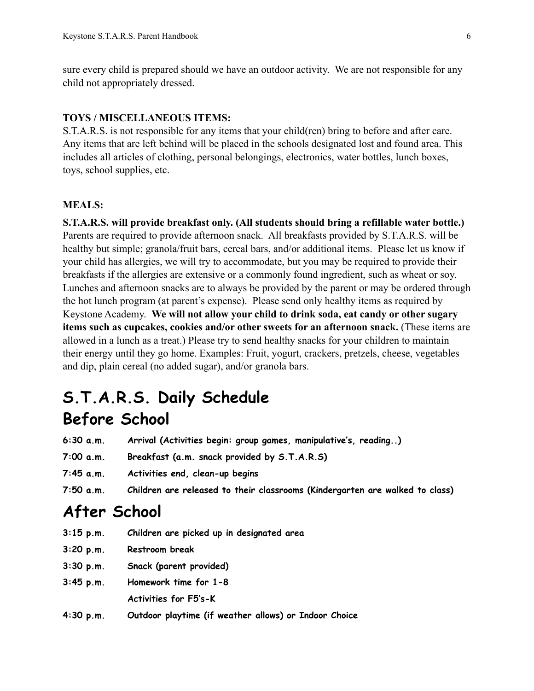sure every child is prepared should we have an outdoor activity. We are not responsible for any child not appropriately dressed.

#### **TOYS / MISCELLANEOUS ITEMS:**

S.T.A.R.S. is not responsible for any items that your child(ren) bring to before and after care. Any items that are left behind will be placed in the schools designated lost and found area. This includes all articles of clothing, personal belongings, electronics, water bottles, lunch boxes, toys, school supplies, etc.

#### **MEALS:**

**S.T.A.R.S. will provide breakfast only. (All students should bring a refillable water bottle.)**  Parents are required to provide afternoon snack. All breakfasts provided by S.T.A.R.S. will be healthy but simple; granola/fruit bars, cereal bars, and/or additional items. Please let us know if your child has allergies, we will try to accommodate, but you may be required to provide their breakfasts if the allergies are extensive or a commonly found ingredient, such as wheat or soy. Lunches and afternoon snacks are to always be provided by the parent or may be ordered through the hot lunch program (at parent's expense). Please send only healthy items as required by Keystone Academy. **We will not allow your child to drink soda, eat candy or other sugary items such as cupcakes, cookies and/or other sweets for an afternoon snack.** (These items are allowed in a lunch as a treat.) Please try to send healthy snacks for your children to maintain their energy until they go home. Examples: Fruit, yogurt, crackers, pretzels, cheese, vegetables and dip, plain cereal (no added sugar), and/or granola bars.

# **S.T.A.R.S. Daily Schedule Before School**

| 6:30 a.m. | Arrival (Activities begin: group games, manipulative's, reading) |  |  |  |  |
|-----------|------------------------------------------------------------------|--|--|--|--|
|           |                                                                  |  |  |  |  |

- **7:00 a.m. Breakfast (a.m. snack provided by S.T.A.R.S)**
- **7:45 a.m. Activities end, clean-up begins**
- **7:50 a.m. Children are released to their classrooms (Kindergarten are walked to class)**

# **After School**

| $3:15$ p.m. | Children are picked up in designated area             |
|-------------|-------------------------------------------------------|
| 3:20 p.m.   | Restroom break                                        |
| 3:30 p.m.   | Snack (parent provided)                               |
| 3:45 p.m.   | Homework time for 1-8                                 |
|             | <b>Activities for F5's-K</b>                          |
| 4:30 p.m.   | Outdoor playtime (if weather allows) or Indoor Choice |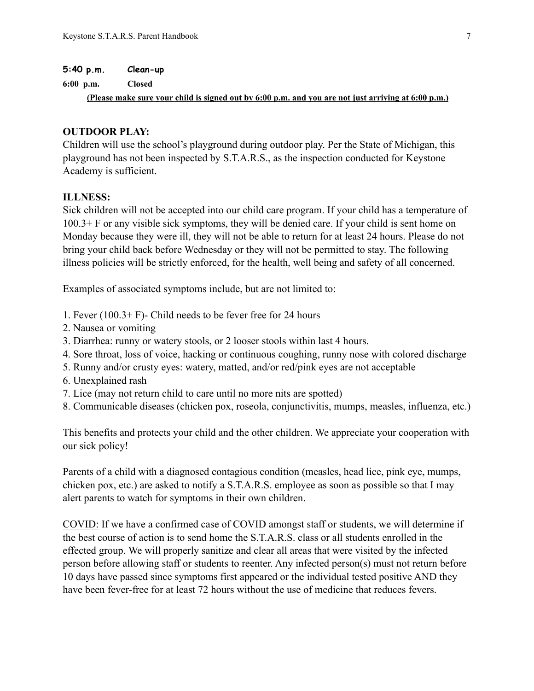#### **5:40 p.m. Clean-up**

**6:00 p.m. Closed** 

**(Please make sure your child is signed out by 6:00 p.m. and you are not just arriving at 6:00 p.m.)**

#### **OUTDOOR PLAY:**

Children will use the school's playground during outdoor play. Per the State of Michigan, this playground has not been inspected by S.T.A.R.S., as the inspection conducted for Keystone Academy is sufficient.

# **ILLNESS:**

Sick children will not be accepted into our child care program. If your child has a temperature of 100.3+ F or any visible sick symptoms, they will be denied care. If your child is sent home on Monday because they were ill, they will not be able to return for at least 24 hours. Please do not bring your child back before Wednesday or they will not be permitted to stay. The following illness policies will be strictly enforced, for the health, well being and safety of all concerned.

Examples of associated symptoms include, but are not limited to:

- 1. Fever (100.3+ F)- Child needs to be fever free for 24 hours
- 2. Nausea or vomiting
- 3. Diarrhea: runny or watery stools, or 2 looser stools within last 4 hours.
- 4. Sore throat, loss of voice, hacking or continuous coughing, runny nose with colored discharge
- 5. Runny and/or crusty eyes: watery, matted, and/or red/pink eyes are not acceptable
- 6. Unexplained rash
- 7. Lice (may not return child to care until no more nits are spotted)
- 8. Communicable diseases (chicken pox, roseola, conjunctivitis, mumps, measles, influenza, etc.)

This benefits and protects your child and the other children. We appreciate your cooperation with our sick policy!

Parents of a child with a diagnosed contagious condition (measles, head lice, pink eye, mumps, chicken pox, etc.) are asked to notify a S.T.A.R.S. employee as soon as possible so that I may alert parents to watch for symptoms in their own children.

COVID: If we have a confirmed case of COVID amongst staff or students, we will determine if the best course of action is to send home the S.T.A.R.S. class or all students enrolled in the effected group. We will properly sanitize and clear all areas that were visited by the infected person before allowing staff or students to reenter. Any infected person(s) must not return before 10 days have passed since symptoms first appeared or the individual tested positive AND they have been fever-free for at least 72 hours without the use of medicine that reduces fevers.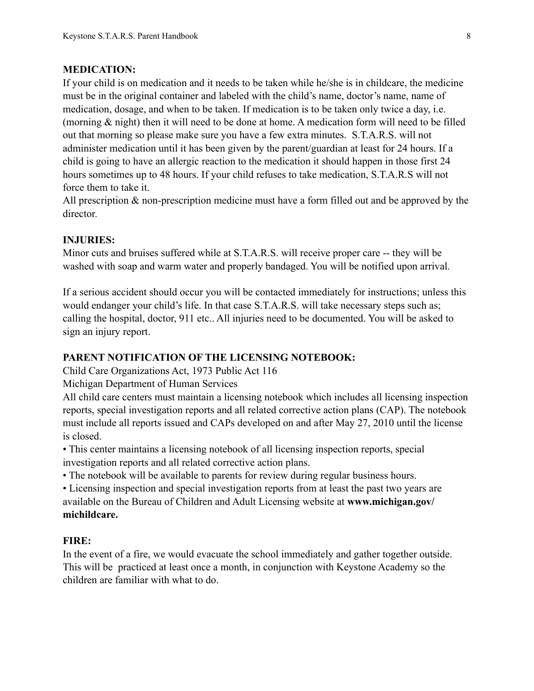# **MEDICATION:**

If your child is on medication and it needs to be taken while he/she is in childcare, the medicine must be in the original container and labeled with the child's name, doctor's name, name of medication, dosage, and when to be taken. If medication is to be taken only twice a day, i.e. (morning & night) then it will need to be done at home. A medication form will need to be filled out that morning so please make sure you have a few extra minutes. S.T.A.R.S. will not administer medication until it has been given by the parent/guardian at least for 24 hours. If a child is going to have an allergic reaction to the medication it should happen in those first 24 hours sometimes up to 48 hours. If your child refuses to take medication, S.T.A.R.S will not force them to take it.

All prescription & non-prescription medicine must have a form filled out and be approved by the director.

#### **INJURIES:**

Minor cuts and bruises suffered while at S.T.A.R.S. will receive proper care -- they will be washed with soap and warm water and properly bandaged. You will be notified upon arrival.

If a serious accident should occur you will be contacted immediately for instructions; unless this would endanger your child's life. In that case S.T.A.R.S. will take necessary steps such as; calling the hospital, doctor, 911 etc.. All injuries need to be documented. You will be asked to sign an injury report.

#### **PARENT NOTIFICATION OF THE LICENSING NOTEBOOK:**

Child Care Organizations Act, 1973 Public Act 116

Michigan Department of Human Services

All child care centers must maintain a licensing notebook which includes all licensing inspection reports, special investigation reports and all related corrective action plans (CAP). The notebook must include all reports issued and CAPs developed on and after May 27, 2010 until the license is closed.

• This center maintains a licensing notebook of all licensing inspection reports, special investigation reports and all related corrective action plans.

• The notebook will be available to parents for review during regular business hours.

• Licensing inspection and special investigation reports from at least the past two years are available on the Bureau of Children and Adult Licensing website at **www.michigan.gov/ michildcare.**

#### **FIRE:**

In the event of a fire, we would evacuate the school immediately and gather together outside. This will be practiced at least once a month, in conjunction with Keystone Academy so the children are familiar with what to do.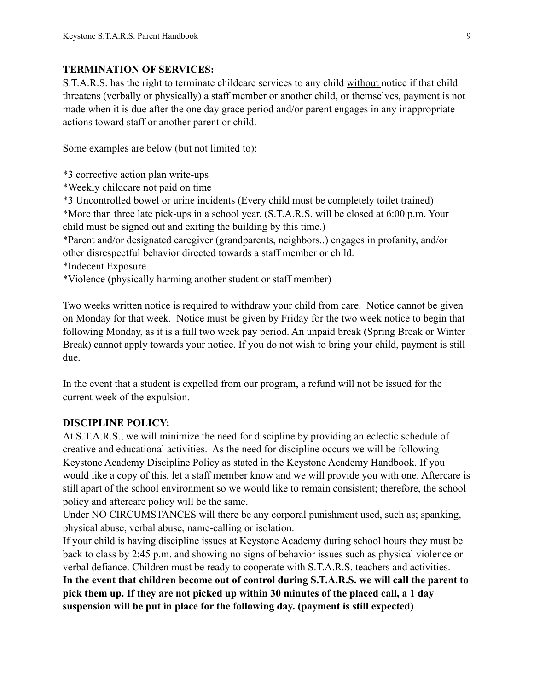# **TERMINATION OF SERVICES:**

S.T.A.R.S. has the right to terminate childcare services to any child without notice if that child threatens (verbally or physically) a staff member or another child, or themselves, payment is not made when it is due after the one day grace period and/or parent engages in any inappropriate actions toward staff or another parent or child.

Some examples are below (but not limited to):

\*3 corrective action plan write-ups

\*Weekly childcare not paid on time

\*3 Uncontrolled bowel or urine incidents (Every child must be completely toilet trained) \*More than three late pick-ups in a school year. (S.T.A.R.S. will be closed at 6:00 p.m. Your child must be signed out and exiting the building by this time.)

\*Parent and/or designated caregiver (grandparents, neighbors..) engages in profanity, and/or other disrespectful behavior directed towards a staff member or child.

- \*Indecent Exposure
- \*Violence (physically harming another student or staff member)

Two weeks written notice is required to withdraw your child from care. Notice cannot be given on Monday for that week. Notice must be given by Friday for the two week notice to begin that following Monday, as it is a full two week pay period. An unpaid break (Spring Break or Winter Break) cannot apply towards your notice. If you do not wish to bring your child, payment is still due.

In the event that a student is expelled from our program, a refund will not be issued for the current week of the expulsion.

# **DISCIPLINE POLICY:**

At S.T.A.R.S., we will minimize the need for discipline by providing an eclectic schedule of creative and educational activities. As the need for discipline occurs we will be following Keystone Academy Discipline Policy as stated in the Keystone Academy Handbook. If you would like a copy of this, let a staff member know and we will provide you with one. Aftercare is still apart of the school environment so we would like to remain consistent; therefore, the school policy and aftercare policy will be the same.

Under NO CIRCUMSTANCES will there be any corporal punishment used, such as; spanking, physical abuse, verbal abuse, name-calling or isolation.

If your child is having discipline issues at Keystone Academy during school hours they must be back to class by 2:45 p.m. and showing no signs of behavior issues such as physical violence or verbal defiance. Children must be ready to cooperate with S.T.A.R.S. teachers and activities. **In the event that children become out of control during S.T.A.R.S. we will call the parent to pick them up. If they are not picked up within 30 minutes of the placed call, a 1 day suspension will be put in place for the following day. (payment is still expected)**